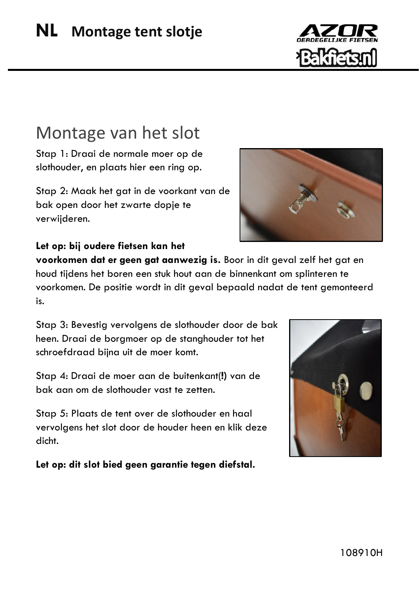## Montage van het slot

Stap 1: Draai de normale moer op de slothouder, en plaats hier een ring op.

Stap 2: Maak het gat in de voorkant van de bak open door het zwarte dopje te verwijderen.



## **Let op: bij oudere fietsen kan het**

**voorkomen dat er geen gat aanwezig is.** Boor in dit geval zelf het gat en houd tijdens het boren een stuk hout aan de binnenkant om splinteren te voorkomen. De positie wordt in dit geval bepaald nadat de tent gemonteerd is.

Stap 3: Bevestig vervolgens de slothouder door de bak heen. Draai de borgmoer op de stanghouder tot het schroefdraad bijna uit de moer komt.

Stap 4: Draai de moer aan de buitenkant(**!)** van de bak aan om de slothouder vast te zetten.

Stap 5: Plaats de tent over de slothouder en haal vervolgens het slot door de houder heen en klik deze dicht.

**Let op: dit slot bied geen garantie tegen diefstal.**